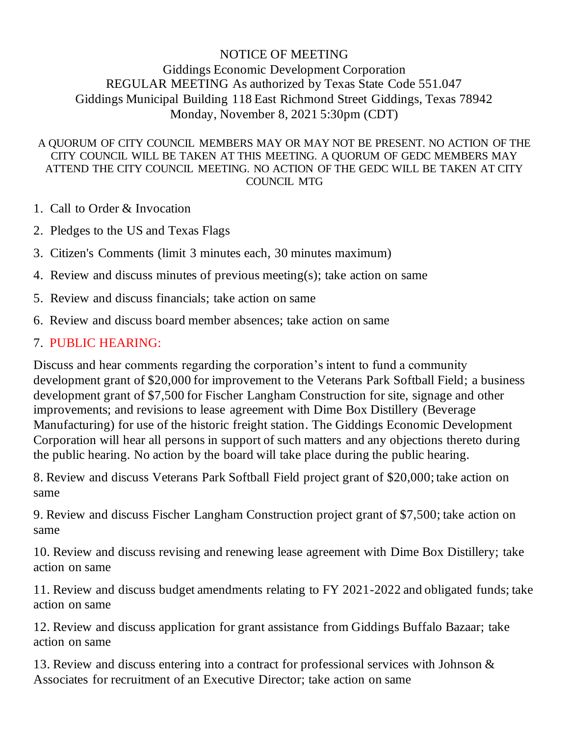## NOTICE OF MEETING

## Giddings Economic Development Corporation REGULAR MEETING As authorized by Texas State Code 551.047 Giddings Municipal Building 118 East Richmond Street Giddings, Texas 78942 Monday, November 8, 2021 5:30pm (CDT)

## A QUORUM OF CITY COUNCIL MEMBERS MAY OR MAY NOT BE PRESENT. NO ACTION OF THE CITY COUNCIL WILL BE TAKEN AT THIS MEETING. A QUORUM OF GEDC MEMBERS MAY ATTEND THE CITY COUNCIL MEETING. NO ACTION OF THE GEDC WILL BE TAKEN AT CITY COUNCIL MTG

- 1. Call to Order & Invocation
- 2. Pledges to the US and Texas Flags
- 3. Citizen's Comments (limit 3 minutes each, 30 minutes maximum)
- 4. Review and discuss minutes of previous meeting(s); take action on same
- 5. Review and discuss financials; take action on same
- 6. Review and discuss board member absences; take action on same

## 7. PUBLIC HEARING:

Discuss and hear comments regarding the corporation's intent to fund a community development grant of \$20,000 for improvement to the Veterans Park Softball Field; a business development grant of \$7,500 for Fischer Langham Construction for site, signage and other improvements; and revisions to lease agreement with Dime Box Distillery (Beverage Manufacturing) for use of the historic freight station. The Giddings Economic Development Corporation will hear all persons in support of such matters and any objections thereto during the public hearing. No action by the board will take place during the public hearing.

8. Review and discuss Veterans Park Softball Field project grant of \$20,000; take action on same

9. Review and discuss Fischer Langham Construction project grant of \$7,500; take action on same

10. Review and discuss revising and renewing lease agreement with Dime Box Distillery; take action on same

11. Review and discuss budget amendments relating to FY 2021-2022 and obligated funds; take action on same

12. Review and discuss application for grant assistance from Giddings Buffalo Bazaar; take action on same

13. Review and discuss entering into a contract for professional services with Johnson & Associates for recruitment of an Executive Director; take action on same